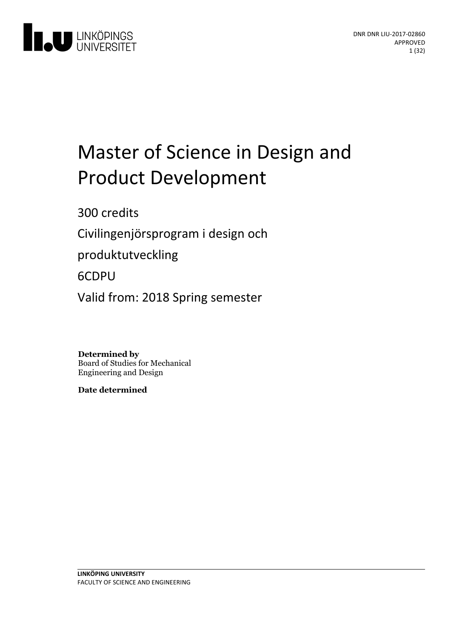

# Master of Science in Design and Product Development

300 credits

Civilingenjörsprogram i design och

produktutveckling

## 6CDPU

Valid from: 2018 Spring semester

**Determined by** Board of Studies for Mechanical Engineering and Design

**Date determined**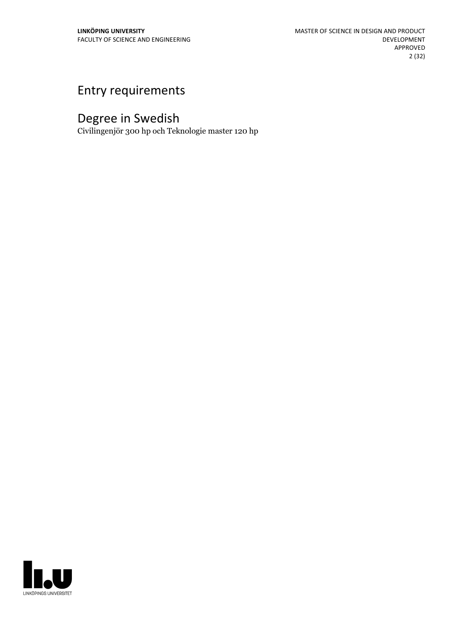## Entry requirements

## Degree in Swedish

Civilingenjör 300 hp och Teknologie master 120 hp

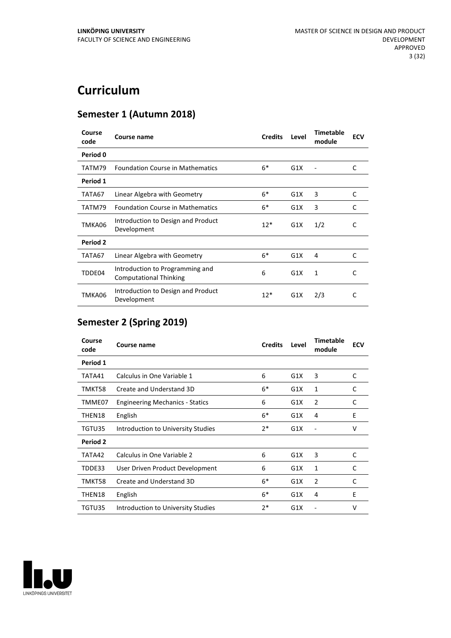## **Curriculum**

## **Semester 1 (Autumn 2018)**

| Course<br>code | Course name                                                      | <b>Credits</b> | Level | <b>Timetable</b><br>module | <b>ECV</b> |
|----------------|------------------------------------------------------------------|----------------|-------|----------------------------|------------|
| Period 0       |                                                                  |                |       |                            |            |
| TATM79         | <b>Foundation Course in Mathematics</b>                          | $6*$           | G1X   |                            | C          |
| Period 1       |                                                                  |                |       |                            |            |
| TATA67         | Linear Algebra with Geometry                                     | $6*$           | G1X   | 3                          | C          |
| TATM79         | <b>Foundation Course in Mathematics</b>                          | $6*$           | G1X   | 3                          | C          |
| TMKA06         | Introduction to Design and Product<br>Development                | $12*$          | G1X   | 1/2                        | C          |
| Period 2       |                                                                  |                |       |                            |            |
| TATA67         | Linear Algebra with Geometry                                     | $6*$           | G1X   | 4                          | C          |
| TDDE04         | Introduction to Programming and<br><b>Computational Thinking</b> | 6              | G1X   | 1                          | C          |
| TMKA06         | Introduction to Design and Product<br>Development                | $12*$          | G1X   | 2/3                        | C          |

## **Semester 2 (Spring 2019)**

| Course<br>code | Course name                            | <b>Credits</b> | Level | <b>Timetable</b><br>module | <b>ECV</b> |
|----------------|----------------------------------------|----------------|-------|----------------------------|------------|
| Period 1       |                                        |                |       |                            |            |
| TATA41         | Calculus in One Variable 1             | 6              | G1X   | 3                          | C          |
| TMKT58         | Create and Understand 3D               | $6*$           | G1X   | $\mathbf{1}$               | C          |
| TMME07         | <b>Engineering Mechanics - Statics</b> | 6              | G1X   | $\overline{2}$             | C          |
| THEN18         | English                                | $6*$           | G1X   | 4                          | E          |
| TGTU35         | Introduction to University Studies     | $2*$           | G1X   | ٠                          | v          |
| Period 2       |                                        |                |       |                            |            |
| TATA42         | Calculus in One Variable 2             | 6              | G1X   | 3                          | C          |
| TDDE33         | User Driven Product Development        | 6              | G1X   | 1                          | C          |
| TMKT58         | Create and Understand 3D               | $6*$           | G1X   | $\overline{2}$             | C          |
| THEN18         | English                                | $6*$           | G1X   | 4                          | E          |
| TGTU35         | Introduction to University Studies     | 2*             | G1X   |                            | v          |

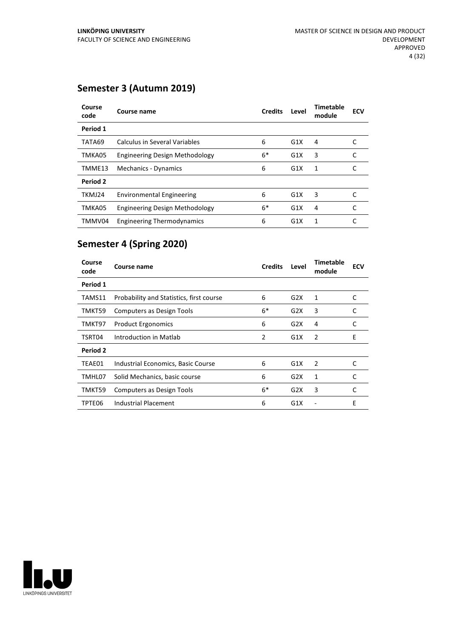## **Semester 3 (Autumn 2019)**

| Course<br>code | Course name                           | <b>Credits</b> | Level | <b>Timetable</b><br>module | <b>ECV</b> |
|----------------|---------------------------------------|----------------|-------|----------------------------|------------|
| Period 1       |                                       |                |       |                            |            |
| TATA69         | Calculus in Several Variables         | 6              | G1X   | 4                          |            |
| TMKA05         | <b>Engineering Design Methodology</b> | 6*             | G1X   | 3                          |            |
| TMME13         | Mechanics - Dynamics                  | 6              | G1X   | 1                          |            |
| Period 2       |                                       |                |       |                            |            |
| TKMJ24         | <b>Environmental Engineering</b>      | 6              | G1X   | 3                          | C          |
| TMKA05         | <b>Engineering Design Methodology</b> | $6*$           | G1X   | 4                          | C          |
| TMMV04         | <b>Engineering Thermodynamics</b>     | 6              | G1X   | 1                          |            |

## **Semester 4 (Spring 2020)**

| Course<br>code  | Course name                              | <b>Credits</b> | Level | Timetable<br>module | <b>ECV</b> |
|-----------------|------------------------------------------|----------------|-------|---------------------|------------|
| Period 1        |                                          |                |       |                     |            |
| TAMS11          | Probability and Statistics, first course | 6              | G2X   | 1                   | C          |
| TMKT59          | Computers as Design Tools                | $6*$           | G2X   | 3                   | C          |
| TMKT97          | <b>Product Ergonomics</b>                | 6              | G2X   | 4                   | C          |
| TSRT04          | Introduction in Matlab                   | 2              | G1X   | 2                   | E          |
| <b>Period 2</b> |                                          |                |       |                     |            |
| TEAE01          | Industrial Economics, Basic Course       | 6              | G1X   | 2                   | C          |
| TMHL07          | Solid Mechanics, basic course            | 6              | G2X   | 1                   | C          |
| TMKT59          | Computers as Design Tools                | $6*$           | G2X   | 3                   | C          |
| TPTE06          | Industrial Placement                     | 6              | G1X   |                     | E          |

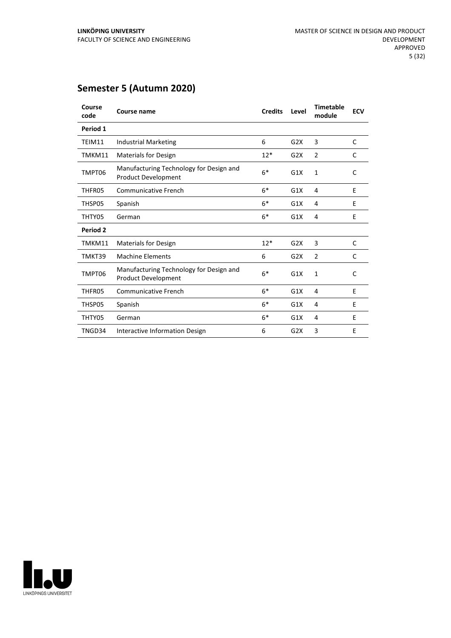| Course<br>code | Course name                                                           | <b>Credits</b> | Level | <b>Timetable</b><br>module | <b>ECV</b>   |
|----------------|-----------------------------------------------------------------------|----------------|-------|----------------------------|--------------|
| Period 1       |                                                                       |                |       |                            |              |
| TEIM11         | <b>Industrial Marketing</b>                                           | 6              | G2X   | 3                          | $\mathsf{C}$ |
| TMKM11         | <b>Materials for Design</b>                                           | $12*$          | G2X   | $\overline{2}$             | C            |
| TMPT06         | Manufacturing Technology for Design and<br><b>Product Development</b> | $6*$           | G1X   | $\mathbf{1}$               | C            |
| THFR05         | Communicative French                                                  | $6*$           | G1X   | 4                          | E            |
| THSP05         | Spanish                                                               | $6*$           | G1X   | 4                          | E            |
| THTY05         | German                                                                | $6*$           | G1X   | 4                          | E            |
| Period 2       |                                                                       |                |       |                            |              |
| TMKM11         | <b>Materials for Design</b>                                           | $12*$          | G2X   | 3                          | C            |
| TMKT39         | <b>Machine Elements</b>                                               | 6              | G2X   | $\overline{2}$             | C            |
| TMPT06         | Manufacturing Technology for Design and<br>Product Development        | $6*$           | G1X   | $\mathbf{1}$               | C            |
| THFR05         | Communicative French                                                  | $6*$           | G1X   | 4                          | E            |
| THSP05         | Spanish                                                               | $6*$           | G1X   | 4                          | E            |
| THTY05         | German                                                                | $6*$           | G1X   | 4                          | E            |
| TNGD34         | Interactive Information Design                                        | 6              | G2X   | 3                          | E            |

## **Semester 5 (Autumn 2020)**

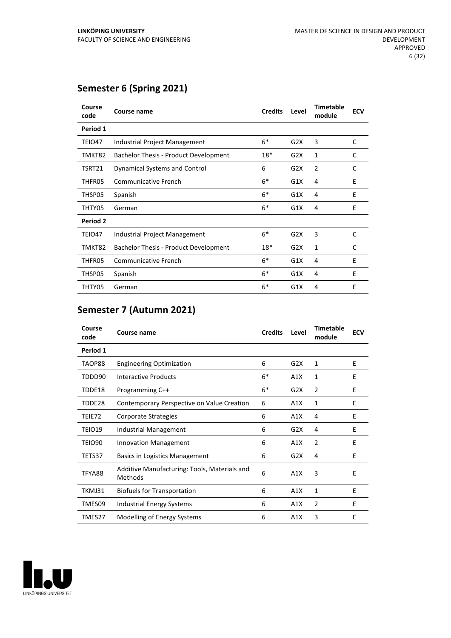## **Semester 6 (Spring 2021)**

| Course<br>code | Course name                                  | <b>Credits</b> | Level | <b>Timetable</b><br>module | <b>ECV</b> |
|----------------|----------------------------------------------|----------------|-------|----------------------------|------------|
| Period 1       |                                              |                |       |                            |            |
| TEIO47         | Industrial Project Management                | $6*$           | G2X   | 3                          | C          |
| TMKT82         | <b>Bachelor Thesis - Product Development</b> | $18*$          | G2X   | 1                          | C          |
| TSRT21         | Dynamical Systems and Control                | 6              | G2X   | 2                          | C          |
| THFR05         | <b>Communicative French</b>                  | $6*$           | G1X   | 4                          | E          |
| THSP05         | Spanish                                      | $6*$           | G1X   | 4                          | E          |
| THTY05         | German                                       | $6*$           | G1X   | 4                          | E          |
| Period 2       |                                              |                |       |                            |            |
| TEIO47         | Industrial Project Management                | $6*$           | G2X   | 3                          | C          |
| TMKT82         | <b>Bachelor Thesis - Product Development</b> | $18*$          | G2X   | 1                          | C          |
| THFR05         | Communicative French                         | $6*$           | G1X   | 4                          | E          |
| THSP05         | Spanish                                      | $6*$           | G1X   | 4                          | E          |
| THTY05         | German                                       | $6*$           | G1X   | 4                          | E          |

## **Semester 7 (Autumn 2021)**

| Course<br>code | Course name                                             | <b>Credits</b> | Level | <b>Timetable</b><br>module | <b>ECV</b> |
|----------------|---------------------------------------------------------|----------------|-------|----------------------------|------------|
| Period 1       |                                                         |                |       |                            |            |
| TAOP88         | <b>Engineering Optimization</b>                         | 6              | G2X   | 1                          | E          |
| TDDD90         | Interactive Products                                    | $6*$           | A1X   | 1                          | Ε          |
| TDDE18         | Programming C++                                         | $6*$           | G2X   | $\overline{2}$             | E          |
| TDDE28         | Contemporary Perspective on Value Creation              | 6              | A1X   | 1                          | Ε          |
| TEIE72         | Corporate Strategies                                    | 6              | A1X   | 4                          | Ε          |
| TEIO19         | <b>Industrial Management</b>                            | 6              | G2X   | 4                          | E          |
| TEIO90         | Innovation Management                                   | 6              | A1X   | $\overline{2}$             | E          |
| TETS37         | <b>Basics in Logistics Management</b>                   | 6              | G2X   | 4                          | E          |
| TFYA88         | Additive Manufacturing: Tools, Materials and<br>Methods | 6              | A1X   | 3                          | E          |
| TKMJ31         | <b>Biofuels for Transportation</b>                      | 6              | A1X   | 1                          | E          |
| TMES09         | <b>Industrial Energy Systems</b>                        | 6              | A1X   | 2                          | Ε          |
| TMES27         | Modelling of Energy Systems                             | 6              | A1X   | 3                          | E          |

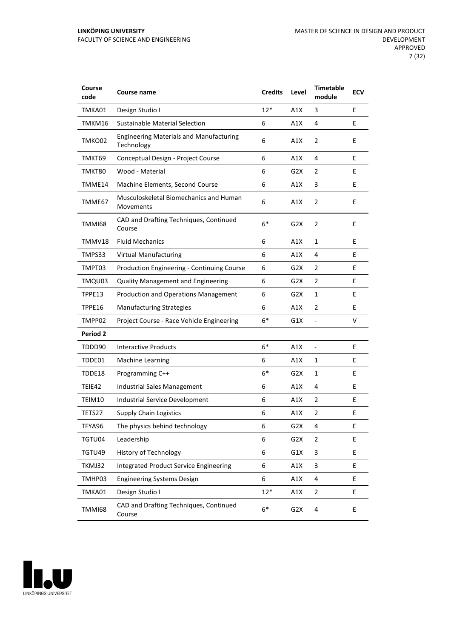| Course<br>code  | <b>Course name</b>                                           | <b>Credits</b>   | Level            | <b>Timetable</b><br>module | <b>ECV</b> |
|-----------------|--------------------------------------------------------------|------------------|------------------|----------------------------|------------|
| TMKA01          | Design Studio I                                              | $12*$            | A1X              | 3                          | E          |
| TMKM16          | <b>Sustainable Material Selection</b>                        | 6                | A1X              | 4                          | E          |
| TMKO02          | <b>Engineering Materials and Manufacturing</b><br>Technology | 6                | A1X              | 2                          | E          |
| TMKT69          | Conceptual Design - Project Course                           | 6                | A1X              | 4                          | E          |
| TMKT80          | Wood - Material                                              | 6                | G2X              | 2                          | E          |
| TMME14          | Machine Elements, Second Course                              | 6                | A1X              | 3                          | E          |
| TMME67          | Musculoskeletal Biomechanics and Human<br>Movements          | 6                | A1X              | $\overline{2}$             | E          |
| <b>TMMI68</b>   | CAD and Drafting Techniques, Continued<br>Course             | $6*$             | G <sub>2</sub> X | 2                          | E          |
| TMMV18          | <b>Fluid Mechanics</b>                                       | 6                | A1X              | 1                          | E          |
| TMPS33          | <b>Virtual Manufacturing</b>                                 | 6                | A1X              | 4                          | E          |
| TMPT03          | <b>Production Engineering - Continuing Course</b>            | 6                | G2X              | 2                          | E          |
| TMQU03          | <b>Quality Management and Engineering</b>                    | 6                | G2X              | 2                          | E          |
| TPPE13          | <b>Production and Operations Management</b>                  | 6                | G2X              | 1                          | E          |
| TPPE16          | <b>Manufacturing Strategies</b>                              | 6                | A1X              | $\overline{2}$             | E          |
| TMPP02          | Project Course - Race Vehicle Engineering                    | $6*$             | G1X              | $\overline{\phantom{a}}$   | V          |
| <b>Period 2</b> |                                                              |                  |                  |                            |            |
| TDDD90          | <b>Interactive Products</b>                                  | $6*$             | A1X              | $\overline{a}$             | E          |
| TDDE01          | <b>Machine Learning</b>                                      | 6                | A1X              | 1                          | E          |
| TDDE18          | Programming C++                                              | $6*$             | G <sub>2</sub> X | $\mathbf{1}$               | Е          |
| TEIE42          | Industrial Sales Management                                  | 6                | A1X              | 4                          | E          |
| TEIM10          | Industrial Service Development                               | 6                | A1X              | 2                          | E          |
| TETS27          | <b>Supply Chain Logistics</b>                                | 6                | A1X              | $\overline{2}$             | E          |
| TFYA96          | The physics behind technology                                | 6                | G <sub>2</sub> X | 4                          | E          |
| TGTU04          | Leadership                                                   | 6                | G <sub>2</sub> X | $\overline{2}$             | E          |
| TGTU49          | History of Technology                                        | 6                | G1X              | 3                          | E          |
| TKMJ32          | <b>Integrated Product Service Engineering</b>                | 6                | A1X              | $\ensuremath{\mathsf{3}}$  | E.         |
| TMHP03          | <b>Engineering Systems Design</b>                            | $\boldsymbol{6}$ | A1X              | 4                          | E          |
| TMKA01          | Design Studio I                                              | $12*$            | A1X              | $\mathbf 2$                | E          |
| <b>TMMI68</b>   | CAD and Drafting Techniques, Continued<br>Course             | $6*$             | G <sub>2</sub> X | 4                          | E          |

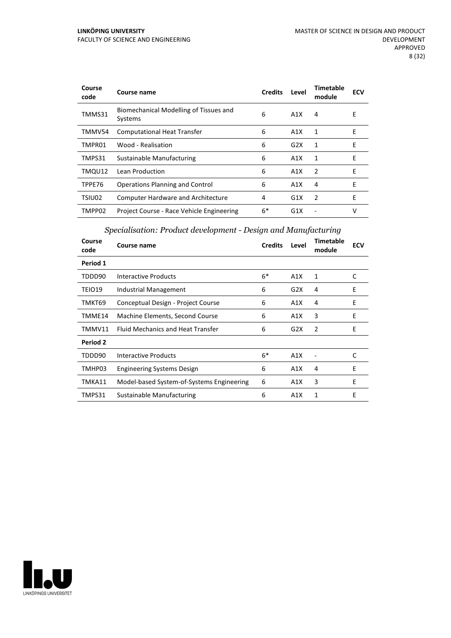#### **LINKÖPING UNIVERSITY** FACULTY OF SCIENCE AND ENGINEERING

| Course<br>code | Course name                                       | <b>Credits</b> | Level | <b>Timetable</b><br>module | <b>ECV</b> |
|----------------|---------------------------------------------------|----------------|-------|----------------------------|------------|
| TMMS31         | Biomechanical Modelling of Tissues and<br>Systems | 6              | A1X   | 4                          | E          |
| TMMV54         | <b>Computational Heat Transfer</b>                | 6              | A1X   | 1                          | E          |
| TMPR01         | Wood - Realisation                                | 6              | G2X   | 1                          | Е          |
| TMPS31         | Sustainable Manufacturing                         | 6              | A1X   | 1                          | E          |
| TMQU12         | Lean Production                                   | 6              | A1X   | 2                          | E          |
| TPPE76         | <b>Operations Planning and Control</b>            | 6              | A1X   | 4                          | F          |
| TSIU02         | Computer Hardware and Architecture                | 4              | G1X   | $\overline{2}$             | F          |
| TMPP02         | Project Course - Race Vehicle Engineering         | $6*$           | G1X   |                            | v          |

## *Specialisation: Product development - Design and Manufacturing*

| Course<br>code | Course name                               | <b>Credits</b> | Level | <b>Timetable</b><br>module | <b>ECV</b> |
|----------------|-------------------------------------------|----------------|-------|----------------------------|------------|
| Period 1       |                                           |                |       |                            |            |
| TDDD90         | Interactive Products                      | $6*$           | A1X   | 1                          | C          |
| TEIO19         | Industrial Management                     | 6              | G2X   | 4                          | E          |
| TMKT69         | Conceptual Design - Project Course        | 6              | A1X   | 4                          | E          |
| TMME14         | Machine Elements, Second Course           | 6              | A1X   | 3                          | E          |
| TMMV11         | <b>Fluid Mechanics and Heat Transfer</b>  | 6              | G2X   | 2                          | E          |
| Period 2       |                                           |                |       |                            |            |
| TDDD90         | Interactive Products                      | $6*$           | A1X   |                            | C          |
| TMHP03         | <b>Engineering Systems Design</b>         | 6              | A1X   | 4                          | E          |
| TMKA11         | Model-based System-of-Systems Engineering | 6              | A1X   | 3                          | E          |
| TMPS31         | Sustainable Manufacturing                 | 6              | A1X   | 1                          | E          |

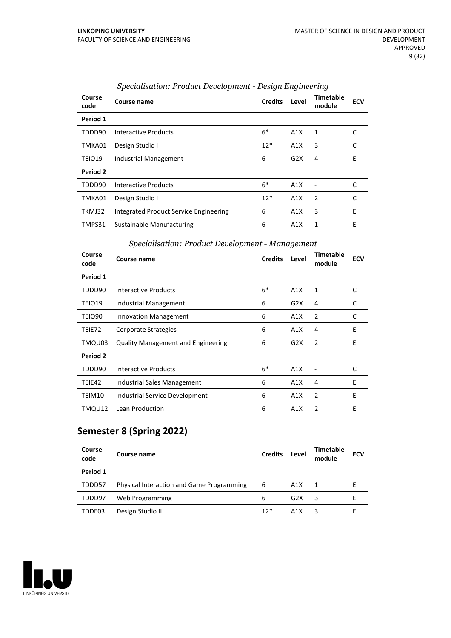| Course<br>code | Course name                            | <b>Credits</b> | Level | <b>Timetable</b><br>module | <b>ECV</b> |
|----------------|----------------------------------------|----------------|-------|----------------------------|------------|
| Period 1       |                                        |                |       |                            |            |
| TDDD90         | Interactive Products                   | $6*$           | A1X   | 1                          | C          |
| TMKA01         | Design Studio I                        | $12*$          | A1X   | 3                          | C          |
| TEIO19         | Industrial Management                  | 6              | G2X   | 4                          | E          |
| Period 2       |                                        |                |       |                            |            |
| TDDD90         | Interactive Products                   | $6*$           | A1X   |                            | C          |
| TMKA01         | Design Studio I                        | $12*$          | A1X   | $\overline{2}$             | C          |
| TKMJ32         | Integrated Product Service Engineering | 6              | A1X   | 3                          | E          |
| TMPS31         | Sustainable Manufacturing              | 6              | A1X   | 1                          | E          |

## *Specialisation: Product Development - Design Engineering*

#### *Specialisation: Product Development - Management*

| Course<br>code | Course name                               | <b>Credits</b> | Level | <b>Timetable</b><br>module | <b>ECV</b> |
|----------------|-------------------------------------------|----------------|-------|----------------------------|------------|
| Period 1       |                                           |                |       |                            |            |
| TDDD90         | Interactive Products                      | $6*$           | A1X   | 1                          | C          |
| TEIO19         | Industrial Management                     | 6              | G2X   | 4                          | C          |
| <b>TEIO90</b>  | <b>Innovation Management</b>              | 6              | A1X   | 2                          | C          |
| TEIE72         | Corporate Strategies                      | 6              | A1X   | 4                          | E          |
| TMQU03         | <b>Quality Management and Engineering</b> | 6              | G2X   | 2                          | Ε          |
| Period 2       |                                           |                |       |                            |            |
| TDDD90         | Interactive Products                      | $6*$           | A1X   |                            | C          |
| TEIE42         | Industrial Sales Management               | 6              | A1X   | 4                          | E          |
| TEIM10         | Industrial Service Development            | 6              | A1X   | $\overline{2}$             | E          |
| TMQU12         | Lean Production                           | 6              | A1X   | $\overline{2}$             | E          |

## **Semester 8 (Spring 2022)**

| Course<br>code | Course name                                      | <b>Credits</b> | Level            | <b>Timetable</b><br>module | <b>ECV</b> |
|----------------|--------------------------------------------------|----------------|------------------|----------------------------|------------|
| Period 1       |                                                  |                |                  |                            |            |
| TDDD57         | <b>Physical Interaction and Game Programming</b> | 6              | A1X              | $\overline{1}$             |            |
| TDDD97         | Web Programming                                  | 6              | G2X              | 3                          |            |
| TDDE03         | Design Studio II                                 | $12*$          | A <sub>1</sub> X |                            |            |

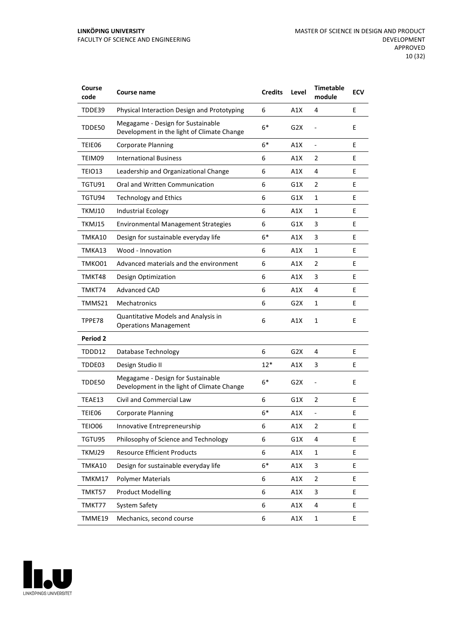| Course<br>code | Course name                                                                     | <b>Credits</b> | Level            | <b>Timetable</b><br>module   | <b>ECV</b> |
|----------------|---------------------------------------------------------------------------------|----------------|------------------|------------------------------|------------|
| TDDE39         | Physical Interaction Design and Prototyping                                     | 6              | A1X              | 4                            | E          |
| TDDE50         | Megagame - Design for Sustainable<br>Development in the light of Climate Change | $6*$           | G2X              |                              | E          |
| TEIE06         | <b>Corporate Planning</b>                                                       | $6*$           | A1X              | $\qquad \qquad \blacksquare$ | E          |
| TEIM09         | <b>International Business</b>                                                   | 6              | A1X              | 2                            | E          |
| TEIO13         | Leadership and Organizational Change                                            | 6              | A1X              | 4                            | E.         |
| TGTU91         | Oral and Written Communication                                                  | 6              | G1X              | 2                            | E          |
| TGTU94         | <b>Technology and Ethics</b>                                                    | 6              | G1X              | $\mathbf{1}$                 | E          |
| TKMJ10         | <b>Industrial Ecology</b>                                                       | 6              | A1X              | $\mathbf{1}$                 | E          |
| TKMJ15         | <b>Environmental Management Strategies</b>                                      | 6              | G1X              | 3                            | E          |
| TMKA10         | Design for sustainable everyday life                                            | $6*$           | A1X              | 3                            | E          |
| TMKA13         | Wood - Innovation                                                               | 6              | A1X              | $\mathbf{1}$                 | E          |
| TMKO01         | Advanced materials and the environment                                          | 6              | A1X              | 2                            | E          |
| TMKT48         | Design Optimization                                                             | 6              | A1X              | 3                            | E          |
| TMKT74         | <b>Advanced CAD</b>                                                             | 6              | A1X              | 4                            | E          |
| TMMS21         | Mechatronics                                                                    | 6              | G2X              | $\mathbf{1}$                 | E          |
| TPPE78         | Quantitative Models and Analysis in<br><b>Operations Management</b>             | 6              | A1X              | $\mathbf{1}$                 | E          |
| Period 2       |                                                                                 |                |                  |                              |            |
| TDDD12         | Database Technology                                                             | 6              | G2X              | 4                            | E          |
| TDDE03         | Design Studio II                                                                | $12*$          | A1X              | 3                            | E          |
| TDDE50         | Megagame - Design for Sustainable<br>Development in the light of Climate Change | $6*$           | G <sub>2</sub> X | $\overline{a}$               | E          |
| TEAE13         | Civil and Commercial Law                                                        | 6              | G1X              | 2                            | E          |
| TEIE06         | <b>Corporate Planning</b>                                                       | 6*             | A1X              | -                            | E          |
| TEIO06         | Innovative Entrepreneurship                                                     | 6              | A1X              | 2                            | E          |
| TGTU95         | Philosophy of Science and Technology                                            | 6              | G1X              | 4                            | E.         |
| TKMJ29         | <b>Resource Efficient Products</b>                                              | 6              | A1X              | $\mathbf{1}$                 | E          |
| TMKA10         | Design for sustainable everyday life                                            | $6*$           | A1X              | 3                            | E          |
| TMKM17         | <b>Polymer Materials</b>                                                        | 6              | A1X              | $\overline{2}$               | E.         |
| TMKT57         | <b>Product Modelling</b>                                                        | 6              | A1X              | 3                            | E          |
| TMKT77         | System Safety                                                                   | 6              | A1X              | 4                            | E          |
| TMME19         | Mechanics, second course                                                        | 6              | A1X              | $\mathbf{1}$                 | E          |

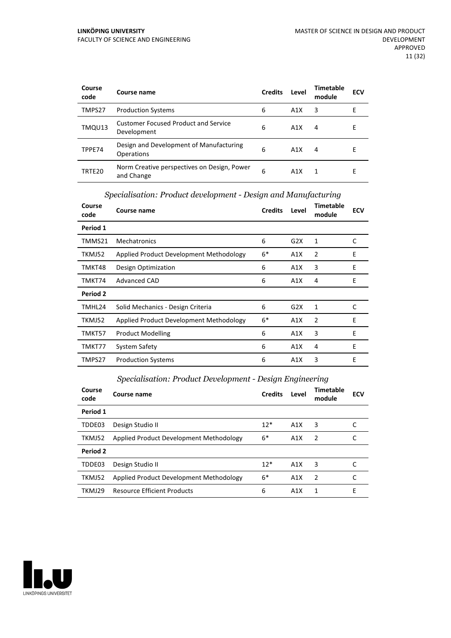| Course<br>code | Course name                                                | <b>Credits</b> | Level | <b>Timetable</b><br>module | <b>ECV</b> |
|----------------|------------------------------------------------------------|----------------|-------|----------------------------|------------|
| TMPS27         | <b>Production Systems</b>                                  | 6              | A1X   | 3                          | F          |
| TMQU13         | <b>Customer Focused Product and Service</b><br>Development | 6              | A1X   | 4                          | E          |
| TPPE74         | Design and Development of Manufacturing<br>Operations      | 6              | A1X   | 4                          | Е          |
| TRTE20         | Norm Creative perspectives on Design, Power<br>and Change  | 6              | A1X   | 1                          | F          |

| Course<br>code | Course name                             | <b>Credits</b> | Level | <b>Timetable</b><br>module | <b>ECV</b> |
|----------------|-----------------------------------------|----------------|-------|----------------------------|------------|
| Period 1       |                                         |                |       |                            |            |
| TMMS21         | Mechatronics                            | 6              | G2X   | 1                          | C          |
| TKMJ52         | Applied Product Development Methodology | $6*$           | A1X   | 2                          | Ε          |
| TMKT48         | Design Optimization                     | 6              | A1X   | 3                          | E          |
| TMKT74         | Advanced CAD                            | 6              | A1X   | 4                          | Ε          |
| Period 2       |                                         |                |       |                            |            |
| TMHL24         | Solid Mechanics - Design Criteria       | 6              | G2X   | 1                          | C          |
| TKMJ52         | Applied Product Development Methodology | $6*$           | A1X   | 2                          | E          |
| TMKT57         | <b>Product Modelling</b>                | 6              | A1X   | 3                          | E          |
| TMKT77         | System Safety                           | 6              | A1X   | 4                          | E          |
| TMPS27         | <b>Production Systems</b>               | 6              | A1X   | 3                          | Ε          |

#### *Specialisation: Product development - Design and Manufacturing*

#### *Specialisation: Product Development - Design Engineering*

| Course<br>code | Course name                             | <b>Credits</b> | Level            | <b>Timetable</b><br>module | <b>ECV</b> |
|----------------|-----------------------------------------|----------------|------------------|----------------------------|------------|
| Period 1       |                                         |                |                  |                            |            |
| TDDE03         | Design Studio II                        | $12*$          | A1X              | 3                          |            |
| TKMJ52         | Applied Product Development Methodology | $6*$           | A1X              | -2                         |            |
| Period 2       |                                         |                |                  |                            |            |
| TDDE03         | Design Studio II                        | $12*$          | A1X              | 3                          |            |
| TKMJ52         | Applied Product Development Methodology | $6*$           | A1X              | $\mathcal{P}$              |            |
| TKMJ29         | <b>Resource Efficient Products</b>      | 6              | A <sub>1</sub> X | 1                          | Е          |

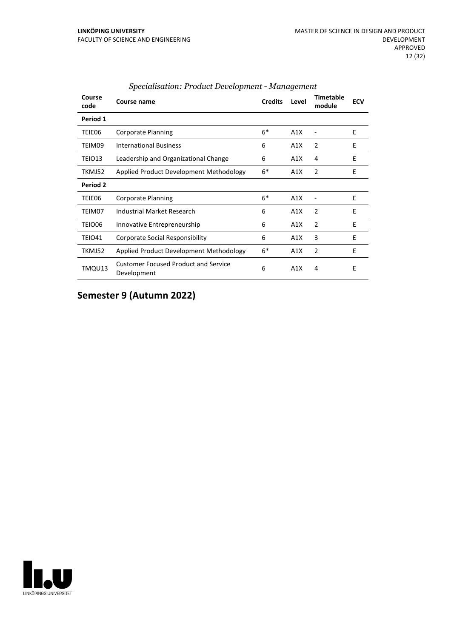| Course<br>code | Course name                                                | <b>Credits</b> | Level | <b>Timetable</b><br>module | <b>ECV</b> |
|----------------|------------------------------------------------------------|----------------|-------|----------------------------|------------|
| Period 1       |                                                            |                |       |                            |            |
| TEIE06         | Corporate Planning                                         | $6*$           | A1X   |                            | E          |
| TEIM09         | <b>International Business</b>                              | 6              | A1X   | 2                          | E          |
| TEIO13         | Leadership and Organizational Change                       | 6              | A1X   | 4                          | E          |
| TKMJ52         | Applied Product Development Methodology                    | $6*$           | A1X   | 2                          | E          |
| Period 2       |                                                            |                |       |                            |            |
| TEIE06         | <b>Corporate Planning</b>                                  | $6*$           | A1X   |                            | F          |
| TEIM07         | Industrial Market Research                                 | 6              | A1X   | 2                          | E          |
| TEIO06         | Innovative Entrepreneurship                                | 6              | A1X   | $\mathcal{P}$              | E          |
| TEIO41         | <b>Corporate Social Responsibility</b>                     | 6              | A1X   | 3                          | E          |
| TKMJ52         | Applied Product Development Methodology                    | $6*$           | A1X   | 2                          | E          |
| TMQU13         | <b>Customer Focused Product and Service</b><br>Development | 6              | A1X   | 4                          | E          |

#### *Specialisation: Product Development - Management*

## **Semester 9 (Autumn 2022)**

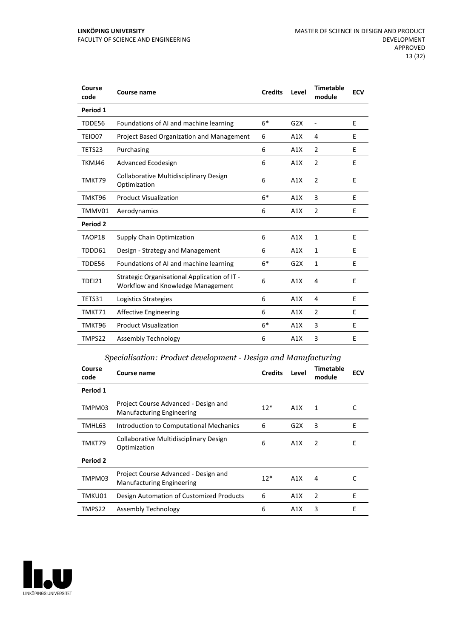| Course<br>code | <b>Course name</b>                                                                | <b>Credits</b> | Level | <b>Timetable</b><br>module | <b>ECV</b> |
|----------------|-----------------------------------------------------------------------------------|----------------|-------|----------------------------|------------|
| Period 1       |                                                                                   |                |       |                            |            |
| TDDE56         | Foundations of AI and machine learning                                            | $6*$           | G2X   | $\overline{\phantom{a}}$   | E          |
| TEIO07         | <b>Project Based Organization and Management</b>                                  | 6              | A1X   | 4                          | E          |
| TETS23         | Purchasing                                                                        | 6              | A1X   | 2                          | E          |
| TKMJ46         | Advanced Ecodesign                                                                | 6              | A1X   | $\overline{2}$             | E          |
| TMKT79         | <b>Collaborative Multidisciplinary Design</b><br>Optimization                     | 6              | A1X   | $\overline{2}$             | E          |
| TMKT96         | <b>Product Visualization</b>                                                      | $6*$           | A1X   | 3                          | E          |
| TMMV01         | Aerodynamics                                                                      | 6              | A1X   | 2                          | E          |
| Period 2       |                                                                                   |                |       |                            |            |
| TAOP18         | Supply Chain Optimization                                                         | 6              | A1X   | $\mathbf{1}$               | E          |
| TDDD61         | Design - Strategy and Management                                                  | 6              | A1X   | 1                          | E          |
| TDDE56         | Foundations of AI and machine learning                                            | $6*$           | G2X   | 1                          | E          |
| <b>TDEI21</b>  | Strategic Organisational Application of IT -<br>Workflow and Knowledge Management | 6              | A1X   | $\overline{4}$             | E          |
| TETS31         | Logistics Strategies                                                              | 6              | A1X   | 4                          | E          |
| TMKT71         | <b>Affective Engineering</b>                                                      | 6              | A1X   | $\overline{2}$             | E          |
| TMKT96         | <b>Product Visualization</b>                                                      | $6*$           | A1X   | 3                          | E          |
| TMPS22         | Assembly Technology                                                               | 6              | A1X   | 3                          | E          |

## *Specialisation: Product development - Design and Manufacturing*

| Course<br>code | Course name                                                              | <b>Credits</b> | Level | <b>Timetable</b><br>module | <b>ECV</b> |
|----------------|--------------------------------------------------------------------------|----------------|-------|----------------------------|------------|
| Period 1       |                                                                          |                |       |                            |            |
| TMPM03         | Project Course Advanced - Design and<br><b>Manufacturing Engineering</b> | $12*$          | A1X   | 1                          | C          |
| TMHL63         | Introduction to Computational Mechanics                                  | 6              | G2X   | 3                          | E          |
| TMKT79         | Collaborative Multidisciplinary Design<br>Optimization                   | 6              | A1X   | 2                          | E          |
| Period 2       |                                                                          |                |       |                            |            |
| TMPM03         | Project Course Advanced - Design and<br><b>Manufacturing Engineering</b> | $12*$          | A1X   | 4                          |            |
| TMKU01         | Design Automation of Customized Products                                 | 6              | A1X   | $\overline{2}$             | E          |
| TMPS22         | Assembly Technology                                                      | 6              | A1X   | 3                          | E          |

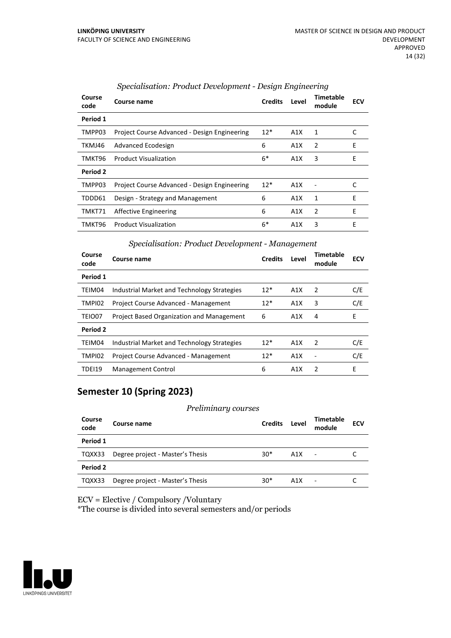| Course<br>code | Course name                                  | <b>Credits</b> | Level | Timetable<br>module | <b>ECV</b> |
|----------------|----------------------------------------------|----------------|-------|---------------------|------------|
| Period 1       |                                              |                |       |                     |            |
| TMPP03         | Project Course Advanced - Design Engineering | $12*$          | A1X   | 1                   | C          |
| TKMJ46         | Advanced Ecodesign                           | 6              | A1X   | $\overline{2}$      | E          |
| TMKT96         | <b>Product Visualization</b>                 | $6*$           | A1X   | 3                   | E          |
| Period 2       |                                              |                |       |                     |            |
| TMPP03         | Project Course Advanced - Design Engineering | $12*$          | A1X   |                     | C          |
| TDDD61         | Design - Strategy and Management             | 6              | A1X   | 1                   | Е          |
| TMKT71         | Affective Engineering                        | 6              | A1X   | $\overline{2}$      | E          |
| TMKT96         | <b>Product Visualization</b>                 | 6*             | A1X   | 3                   | E          |

#### *Specialisation: Product Development - Design Engineering*

#### *Specialisation: Product Development - Management*

| Course<br>code | Course name                                 | <b>Credits</b> | Level            | Timetable<br>module | <b>ECV</b> |
|----------------|---------------------------------------------|----------------|------------------|---------------------|------------|
| Period 1       |                                             |                |                  |                     |            |
| TEIM04         | Industrial Market and Technology Strategies | $12*$          | A1X              | $\overline{2}$      | C/E        |
| TMPI02         | Project Course Advanced - Management        | $12*$          | A1X              | 3                   | C/E        |
| TEIO07         | Project Based Organization and Management   | 6              | A1X              | 4                   | E          |
| Period 2       |                                             |                |                  |                     |            |
| TEIM04         | Industrial Market and Technology Strategies | $12*$          | A1X              | $\mathcal{P}$       | C/E        |
| TMPI02         | Project Course Advanced - Management        | $12*$          | A1X              |                     | C/E        |
| <b>TDEI19</b>  | <b>Management Control</b>                   | 6              | A <sub>1</sub> X | $\mathcal{P}$       | E          |

## **Semester 10 (Spring 2023)**

#### *Preliminary courses*

| Course<br>code | Course name                      | <b>Credits</b> | Level | Timetable<br>module      | <b>ECV</b> |
|----------------|----------------------------------|----------------|-------|--------------------------|------------|
| Period 1       |                                  |                |       |                          |            |
| TQXX33         | Degree project - Master's Thesis | $30*$          | A1X   | $\blacksquare$           |            |
| Period 2       |                                  |                |       |                          |            |
| TQXX33         | Degree project - Master's Thesis | $30*$          | A1X   | $\overline{\phantom{a}}$ |            |

ECV = Elective / Compulsory /Voluntary

\*The course is divided into several semesters and/or periods

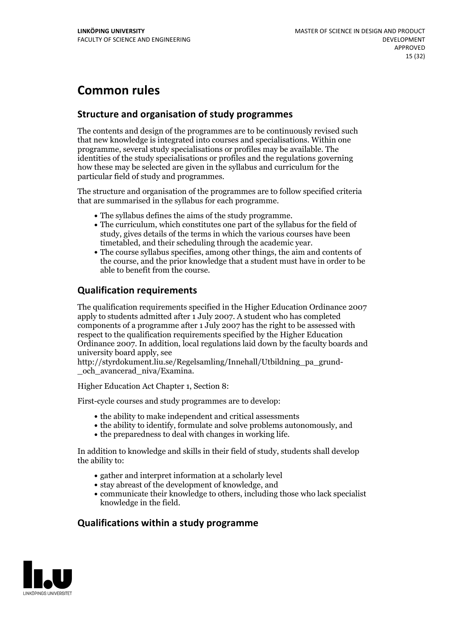## **Common rules**

## **Structure and organisation of study programmes**

The contents and design of the programmes are to be continuously revised such that new knowledge is integrated into courses and specialisations. Within one programme, several study specialisations or profiles may be available. The identities of the study specialisations or profiles and the regulations governing how these may be selected are given in the syllabus and curriculum for the particular field of study and programmes.

The structure and organisation of the programmes are to follow specified criteria that are summarised in the syllabus for each programme.

- 
- The syllabus defines the aims of the study programme.<br>• The curriculum, which constitutes one part of the syllabus for the field of study, gives details of the terms in which the various courses have been
- The course syllabus specifies, among other things, the aim and contents of the course, and the prior knowledge that a student must have in order to be able to benefit from the course.

## **Qualification requirements**

The qualification requirements specified in the Higher Education Ordinance 2007 apply to students admitted after 1 July 2007. A student who has completed components of a programme after 1 July 2007 has the right to be assessed with respect to the qualification requirements specified by the Higher Education Ordinance 2007. In addition, local regulations laid down by the faculty boards and university board apply, see

http://styrdokument.liu.se/Regelsamling/Innehall/Utbildning\_pa\_grund- \_och\_avancerad\_niva/Examina.

Higher Education Act Chapter 1, Section 8:

First-cycle courses and study programmes are to develop:

- the ability to make independent and critical assessments
- the ability to identify, formulate and solve problems autonomously, and
- $\bullet$  the preparedness to deal with changes in working life.

In addition to knowledge and skills in their field of study, students shall develop the ability to:

- gather and interpret information at a scholarly level
- stay abreast of the development of knowledge, and
- communicate their knowledge to others, including those who lack specialist knowledge in the field.

## **Qualifications within a study programme**

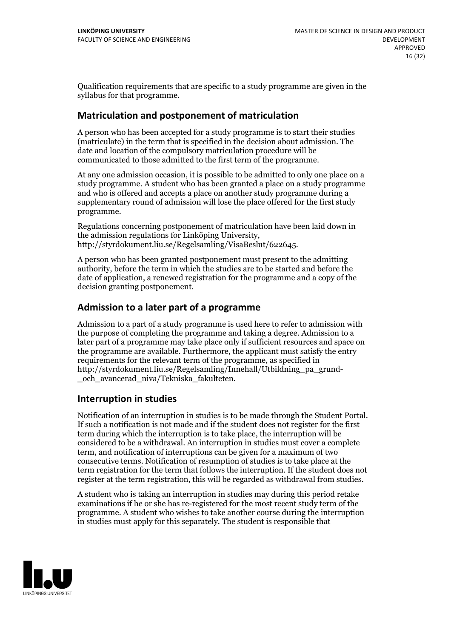Qualification requirements that are specific to a study programme are given in the syllabus for that programme.

### **Matriculation and postponement of matriculation**

A person who has been accepted for a study programme is to start their studies (matriculate) in the term that is specified in the decision about admission. The date and location of the compulsory matriculation procedure will be communicated to those admitted to the first term of the programme.

At any one admission occasion, it is possible to be admitted to only one place on a study programme. A student who has been granted a place on a study programme and who is offered and accepts a place on another study programme during a supplementary round of admission will lose the place offered for the first study programme.

Regulations concerning postponement of matriculation have been laid down in the admission regulations for Linköping University, http://styrdokument.liu.se/Regelsamling/VisaBeslut/622645.

A person who has been granted postponement must present to the admitting authority, before the term in which the studies are to be started and before the date of application, a renewed registration for the programme and a copy of the decision granting postponement.

### **Admission to a later part of a programme**

Admission to a part of a study programme is used here to refer to admission with the purpose of completing the programme and taking a degree. Admission to a later part of a programme may take place only if sufficient resources and space on the programme are available. Furthermore, the applicant must satisfy the entry requirements for the relevant term of the programme, as specified in http://styrdokument.liu.se/Regelsamling/Innehall/Utbildning\_pa\_grund- \_och\_avancerad\_niva/Tekniska\_fakulteten.

#### **Interruption in studies**

Notification of an interruption in studies is to be made through the Student Portal. If such <sup>a</sup> notification is not made and if the student does not register for the first term during which the interruption is to take place, the interruption will be considered to be a withdrawal. An interruption in studies must cover a complete term, and notification of interruptions can be given for a maximum of two consecutive terms. Notification of resumption of studies is to take place at the term registration for the term that follows the interruption. If the student does not register at the term registration, this will be regarded as withdrawal from studies.

A student who is taking an interruption in studies may during this period retake examinations if he or she has re-registered for the most recent study term of the programme. A student who wishes to take another course during the interruption in studies must apply for this separately. The student is responsible that

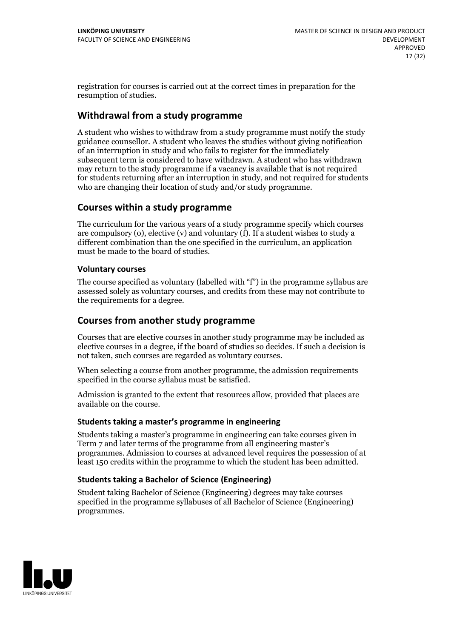registration for courses is carried outat the correct times in preparation for the resumption of studies.

## **Withdrawal from a study programme**

A student who wishes to withdraw from a study programme must notify the study guidance counsellor. A student who leaves the studies without giving notification of an interruption in study and who fails to register for the immediately subsequent term is considered to have withdrawn. A student who has withdrawn may return to the study programme if a vacancy is available that is not required for students returning after an interruption in study, and notrequired for students who are changing their location of study and/or study programme.

### **Courses within a study programme**

The curriculum for the various years of a study programme specify which courses are compulsory (o), elective (v) and voluntary (f). If a student wishes to study a different combination than the one specified in the curriculum, an application must be made to the board of studies.

#### **Voluntarycourses**

The course specified as voluntary (labelled with "f") in the programme syllabus are assessed solely as voluntary courses, and credits from these may not contribute to the requirements for a degree.

## **Courses from another study programme**

Courses that are elective courses in another study programme may be included as elective courses in a degree, if the board of studies so decides. If such a decision is not taken, such courses are regarded as voluntary courses.

When selecting a course from another programme, the admission requirements specified in the course syllabus must be satisfied.

Admission is granted to the extent that resources allow, provided that places are available on the course.

#### **Students taking a master's programme in engineering**

Students taking a master's programme in engineering can take courses given in Term 7 and later terms of the programme from all engineering master's programmes. Admission to courses at advanced level requires the possession of at least 150 credits within the programme to which the student has been admitted.

#### **Students taking a Bachelor of Science (Engineering)**

Student taking Bachelor of Science (Engineering) degrees may take courses specified in the programme syllabuses of all Bachelor of Science (Engineering) programmes.

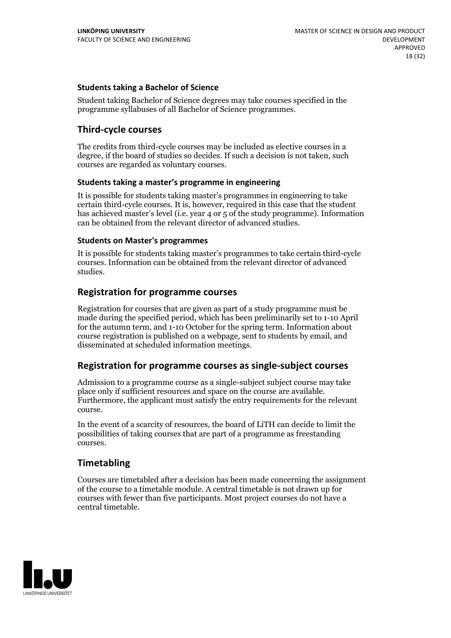#### **Students taking a Bachelor of Science**

Student taking Bachelor of Science degrees may take courses specified in the programme syllabuses of all Bachelor of Science programmes.

#### **Third-cycle courses**

The credits from third-cycle courses may be included as elective courses in a degree, if the board of studies so decides. If such a decision is not taken, such courses are regarded as voluntary courses.

#### **Students taking a master's programme in engineering**

It is possible for students taking master's programmes in engineering to take certain third-cycle courses. It is, however, required in this case that the student has achieved master's level (i.e. year 4 or 5 of the study programme). Information can be obtained from the relevant director of advanced studies.

#### **Students on Master's programmes**

It is possible for students taking master's programmes to take certain third-cycle courses. Information can be obtained from the relevant director of advanced studies.

#### **Registration for programme courses**

Registration for courses that are given as part of a study programme must be made during the specified period, which has been preliminarily set to 1-10 April for the autumn term, and 1-10 October for the spring term. Information about course registration is published on a webpage, sent to students by email, and disseminated at scheduled information meetings.

#### **Registration for programme courses as single-subject courses**

Admission to a programme course as a single-subject subject course may take place only if sufficient resources and space on the course are available. Furthermore, the applicant must satisfy the entry requirements for the relevant course.

In the event of a scarcity of resources, the board of LiTH can decide to limit the possibilities of taking courses that are part of a programme as freestanding courses.

#### **Timetabling**

Courses are timetabled after a decision has been made concerning the assignment of the course to a timetable module. A central timetable is not drawn up for courses with fewer than five participants. Most project courses do not have a central timetable.

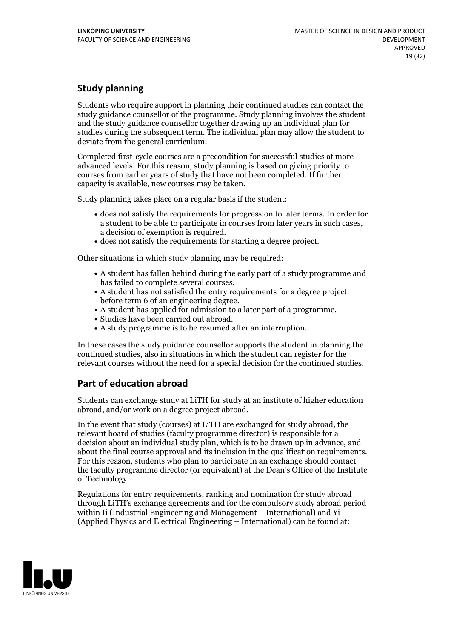## **Study planning**

Students who require support in planning their continued studies can contact the study guidance counsellor of the programme. Study planning involves the student and the study guidance counsellor together drawing up an individual plan for studies during the subsequent term. The individual plan may allow the student to deviate from the general curriculum.

Completed first-cycle courses are a precondition for successful studies at more advanced levels. For this reason, study planning is based on giving priority to courses from earlier years of study that have not been completed. If further capacity is available, new courses may be taken.

Study planning takes place on a regular basis if the student:

- does not satisfy the requirements for progression to later terms. In order for a student to be able to participate in courses from later years in such cases, a decision of exemption is required.<br>
• does not satisfy the requirements for starting a degree project.
- 

Other situations in which study planning may be required:

- A student has fallen behind during the early part of a study programme and has failed to complete several courses.<br>• A student has not satisfied the entry requirements for a degree project
- 
- before term 6 of an engineering degree.<br>
 A student has applied for admission to a later part of a programme.<br>
 Studies have been carried out abroad.<br>
 A study programme is to be resumed after an interruption.
- 
- 

In these cases the study guidance counsellor supports the student in planning the continued studies, also in situations in which the student can register for the relevant courses without the need for a special decision for the continued studies.

## **Part of education abroad**

Students can exchange study at LiTH for study at an institute of higher education abroad, and/or work on a degree project abroad.

In the event that study (courses) at LiTH are exchanged for study abroad, the relevant board of studies (faculty programme director) is responsible for a decision about an individual study plan, which is to be drawn up in advance, and about the final course approval and its inclusion in the qualification requirements. For this reason, students who plan to participate in an exchange should contact the faculty programme director (or equivalent) at the Dean's Office ofthe Institute of Technology.

Regulations for entry requirements, ranking and nomination for study abroad through LiTH's exchange agreements and for the compulsory study abroad period within Ii (Industrial Engineering and Management – International) and Yi (Applied Physics and Electrical Engineering – International) can be found at:

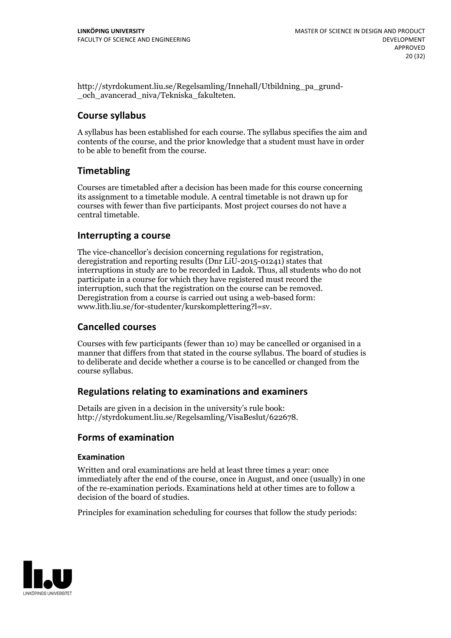http://styrdokument.liu.se/Regelsamling/Innehall/Utbildning\_pa\_grund- \_och\_avancerad\_niva/Tekniska\_fakulteten.

### **Course syllabus**

A syllabus has been established for each course. The syllabus specifies the aim and contents of the course, and the prior knowledge that a student must have in order to be able to benefit from the course.

## **Timetabling**

Courses are timetabled after a decision has been made for this course concerning its assignment to a timetable module. A central timetable is not drawn up for courses with fewer than five participants. Most project courses do not have a central timetable.

### **Interrupting a course**

The vice-chancellor's decision concerning regulations for registration, deregistration and reporting results (Dnr LiU-2015-01241) states that interruptions in study are to be recorded in Ladok. Thus, all students who do not participate in a course for which they have registered must record the interruption, such that the registration on the course can be removed. Deregistration from <sup>a</sup> course is carried outusing <sup>a</sup> web-based form: www.lith.liu.se/for-studenter/kurskomplettering?l=sv.

#### **Cancelled courses**

Courses with few participants (fewer than 10) may be cancelled or organised in a manner that differs from that stated in the course syllabus. The board of studies is to deliberate and decide whether a course is to be cancelled orchanged from the course syllabus.

## **Regulations relatingto examinations and examiners**

Details are given in a decision in the university's rule book: http://styrdokument.liu.se/Regelsamling/VisaBeslut/622678.

## **Forms of examination**

#### **Examination**

Written and oral examinations are held at least three times a year: once immediately after the end of the course, once in August, and once (usually) in one of the re-examination periods. Examinations held at other times are to follow a decision of the board of studies.

Principles for examination scheduling for courses that follow the study periods:

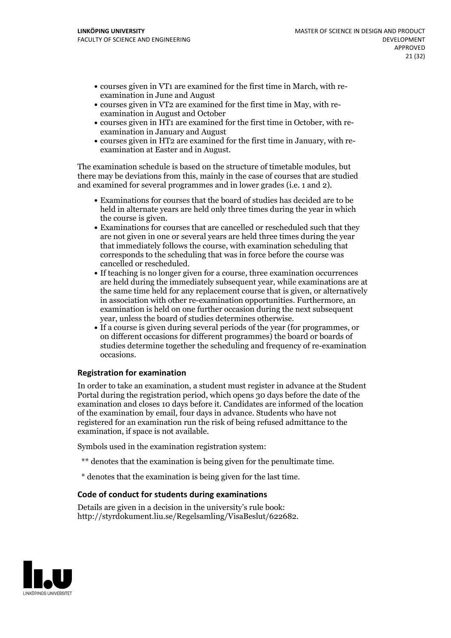- courses given in VT1 are examined for the first time in March, with re-examination in June and August
- courses given in VT2 are examined for the first time in May, with re-examination in August and October
- courses given in HT1 are examined for the first time in October, with re-examination in January and August
- courses given in HT2 are examined for the first time in January, with re-examination at Easter and in August.

The examination schedule is based on the structure of timetable modules, but there may be deviations from this, mainly in the case of courses that are studied and examined for several programmes and in lower grades (i.e. 1 and 2).

- Examinations for courses that the board of studies has decided are to be held in alternate years are held only three times during the year in which
- the course is given.<br>• Examinations for courses that are cancelled or rescheduled such that they are not given in one or several years are held three times during the year that immediately follows the course, with examination scheduling that corresponds to the scheduling that was in force before the course was cancelled or rescheduled.<br>• If teaching is no longer given for a course, three examination occurrences
- are held during the immediately subsequent year, while examinations are at the same time held for any replacement course that is given, or alternatively in association with other re-examination opportunities. Furthermore, an examination is held on one further occasion during the next subsequent
- year, unless the board of studies determines otherwise.<br>If a course is given during several periods of the year (for programmes, or on different occasions for different programmes) the board orboards of studies determine together the scheduling and frequency of re-examination occasions.

#### **Registration for examination**

In order to take an examination, a student must register in advance at the Student Portal during the registration period, which opens 30 days before the date of the examination and closes 10 days before it. Candidates are informed of the location of the examination by email, four days in advance. Students who have not registered for an examination run the risk of being refused admittance to the examination, if space is not available.

Symbols used in the examination registration system:

- \*\* denotes that the examination is being given for the penultimate time.
- \* denotes that the examination is being given for the last time.

#### **Code of conduct for students during examinations**

Details are given in a decision in the university's rule book: http://styrdokument.liu.se/Regelsamling/VisaBeslut/622682.

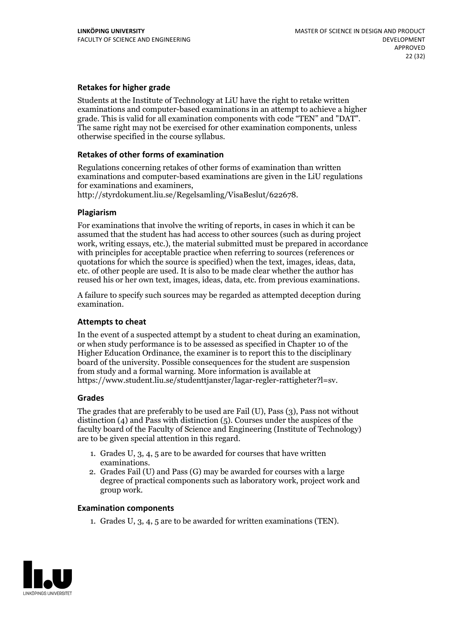#### **Retakes for higher grade**

Students at the Institute of Technology at LiU have the right to retake written examinations and computer-based examinations in an attempt to achieve a higher grade. This is valid for all examination components with code "TEN" and "DAT". The same right may not be exercised for other examination components, unless otherwise specified in the course syllabus.

#### **Retakes of other forms of examination**

Regulations concerning retakes of other forms of examination than written examinations and computer-based examinations are given in the LiU regulations for examinations and examiners, http://styrdokument.liu.se/Regelsamling/VisaBeslut/622678.

#### **Plagiarism**

For examinations that involve the writing of reports, in cases in which it can be assumed that the student has had access to other sources (such as during project work, writing essays, etc.), the material submitted must be prepared in accordance with principles for acceptable practice when referring to sources (references or quotations for which the source is specified) when the text, images, ideas, data, etc. of other people are used. It is also to be made clear whether the author has reused his or her own text, images, ideas, data, etc. from previous examinations.

A failure to specify such sources may be regarded as attempted deception during examination.

#### **Attempts to cheat**

In the event of <sup>a</sup> suspected attempt by <sup>a</sup> student to cheat during an examination, or when study performance is to be assessed as specified in Chapter <sup>10</sup> of the Higher Education Ordinance, the examiner is to report this to the disciplinary board of the university. Possible consequences for the student are suspension from study and a formal warning. More information is available at https://www.student.liu.se/studenttjanster/lagar-regler-rattigheter?l=sv.

#### **Grades**

The grades that are preferably to be used are Fail (U), Pass (3), Pass not without distinction  $(4)$  and Pass with distinction  $(5)$ . Courses under the auspices of the faculty board of the Faculty of Science and Engineering (Institute of Technology) are to be given special attention in this regard.

- 1. Grades U, 3, 4, 5 are to be awarded for courses that have written
- examinations. 2. Grades Fail (U) and Pass (G) may be awarded for courses with <sup>a</sup> large degree of practical components such as laboratory work, project work and group work.

#### **Examination components**

1. Grades U, 3, 4, 5 are to be awarded for written examinations (TEN).

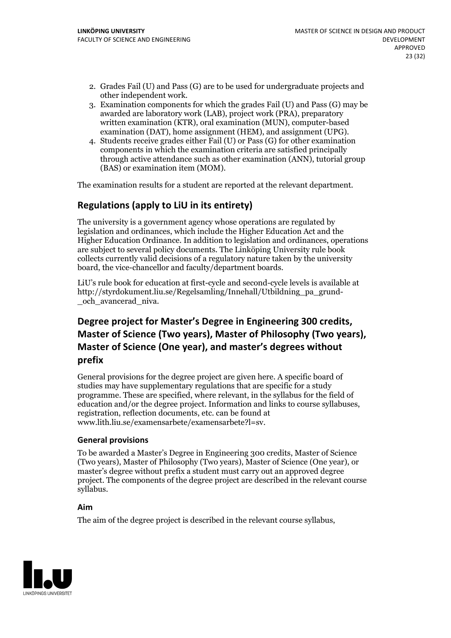- 2. Grades Fail (U) and Pass (G) are to be used for undergraduate projects and other independent work. 3. Examination components for which the grades Fail (U) and Pass (G) may be
- awarded are laboratory work (LAB), project work (PRA), preparatory written examination (KTR), oral examination (MUN), computer-based examination (DAT), home assignment (HEM), and assignment (UPG). 4. Students receive grades either Fail (U) or Pass (G) for other examination
- components in which the examination criteria are satisfied principally through active attendance such as other examination (ANN), tutorial group (BAS) or examination item (MOM).

The examination results for a student are reported at the relevant department.

## **Regulations (applyto LiU in its entirety)**

The university is a government agency whose operations are regulated by legislation and ordinances, which include the Higher Education Act and the Higher Education Ordinance. In addition to legislation and ordinances, operations are subject to several policy documents. The Linköping University rule book collects currently valid decisions of a regulatory nature taken by the university board, the vice-chancellor and faculty/department boards.

LiU's rule book for education at first-cycle and second-cycle levels is available at http://styrdokument.liu.se/Regelsamling/Innehall/Utbildning\_pa\_grund- \_och\_avancerad\_niva.

## **Degree project for Master's Degree in Engineering 300 credits, Master** of Science (Two years), Master of Philosophy (Two years), **Master** of Science (One year), and master's degrees without **prefix**

General provisions for the degree project are given here. A specific board of studies may have supplementary regulations that are specific for a study programme. These are specified, where relevant, in the syllabus for the field of education and/or the degree project. Information and links to course syllabuses, registration, reflection documents, etc. can be found at www.lith.liu.se/examensarbete/examensarbete?l=sv.

#### **General provisions**

To be awarded a Master's Degree in Engineering 300 credits, Master of Science (Two years), Master of Philosophy (Two years), Master of Science (One year), or master's degree without prefix a student must carry out an approved degree project. The components of the degree project are described in the relevant course syllabus.

#### **Aim**

The aim of the degree project is described in the relevant course syllabus,

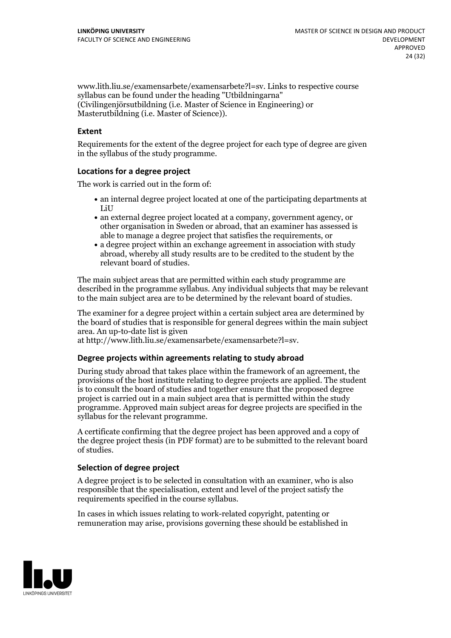www.lith.liu.se/examensarbete/examensarbete?l=sv. Links to respective course syllabus can be found under the heading "Utbildningarna" (Civilingenjörsutbildning (i.e. Master of Science in Engineering) or Masterutbildning (i.e. Master of Science)).

#### **Extent**

Requirements for the extent of the degree project for each type of degree are given in the syllabus of the study programme.

#### **Locations for a degree project**

The work is carried out in the form of:

- an internal degree project located at one of the participating departments at LiU
- an external degree project located at a company, government agency, or other organisation in Sweden or abroad, that an examiner has assessed is able to manage a degree project that satisfies the requirements, or
- a degree project within an exchange agreement in association with study abroad, whereby all study results are to be credited to the student by the relevant board of studies.

The main subject areas that are permitted within each study programme are described in the programme syllabus. Any individual subjects that may be relevant to the main subject area are to be determined by the relevant board of studies.

The examiner for a degree project within a certain subject area are determined by the board of studies that is responsible for general degrees within the main subject area. An up-to-date list is given

at http://www.lith.liu.se/examensarbete/examensarbete?l=sv.

#### **Degree projects within agreements relatingto study abroad**

During study abroad that takes place within the framework of an agreement, the provisions of the host institute relating to degree projects are applied. The student is to consult the board of studies and together ensure that the proposed degree project is carried out in a main subject area that is permitted within the study programme. Approved main subject areas for degree projects are specified in the syllabus for the relevant programme.

A certificate confirming that the degree project has been approved and a copy of the degree project thesis (in PDF format) are to be submitted to the relevant board of studies.

#### **Selection of degree project**

A degree project is to be selected in consultation with an examiner, who is also responsible that the specialisation, extent and level of the project satisfy the requirements specified in the course syllabus.

In cases in which issues relating to work-related copyright, patenting or remuneration may arise, provisions governing these should be established in

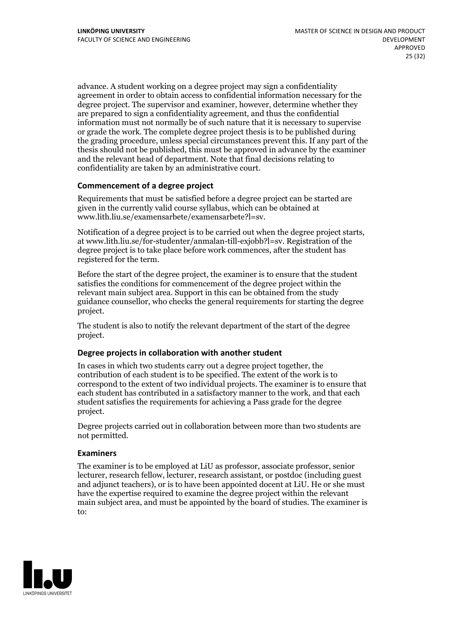advance. A student working on a degree project may sign a confidentiality agreement in order to obtain access to confidential information necessary for the degree project. The supervisor and examiner, however, determine whether they are prepared to sign a confidentiality agreement, and thus the confidential information must not normally be of such nature that it is necessary to supervise or grade the work. The complete degree project thesis is to be published during the grading procedure, unless special circumstances prevent this. If any part of the thesis should not be published, this must be approved in advance by the examiner and the relevant head of department. Note that final decisions relating to confidentiality are taken by an administrative court.

#### **Commencement of a degree project**

Requirements that must be satisfied before a degree project can be started are given in the currently valid course syllabus, which can be obtained at www.lith.liu.se/examensarbete/examensarbete?l=sv.

Notification of <sup>a</sup> degree project is to be carried outwhen the degree project starts, at www.lith.liu.se/for-studenter/anmalan-till-exjobb?l=sv. Registration of the degree project is to take place before work commences, after the student has registered for the term.

Before the start of the degree project, the examiner is to ensure that the student satisfies the conditions for commencement of the degree project within the relevant main subject area. Support in this can be obtained from the study guidance counsellor, who checks the general requirements for starting the degree project.

The student is also to notify the relevant department of the start of the degree project.

#### **Degree projects in collaboration with another student**

In cases in which two students carry out a degree project together, the contribution of each student is to be specified. The extent of the work is to correspond to the extent of two individual projects. The examiner is to ensure that each student has contributed in a satisfactory manner to the work, and that each student satisfies the requirements for achieving a Pass grade for the degree project.

Degree projects carried out in collaboration between more than two students are not permitted.

#### **Examiners**

The examiner is to be employed at LiU as professor, associate professor, senior lecturer, research fellow, lecturer, research assistant, or postdoc (including guest and adjunct teachers), or is to have been appointed docent at LiU. He or she must have the expertise required to examine the degree project within the relevant main subject area, and must be appointed by the board of studies. The examiner is to:

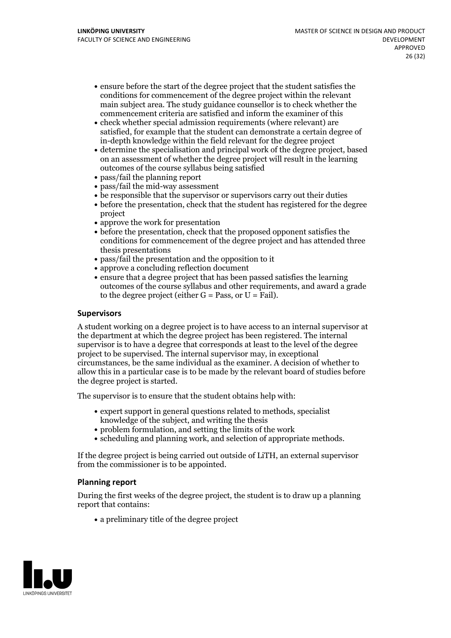- ensure before the start of the degree project that the student satisfies the conditions for commencement of the degree project within the relevant main subject area. The study guidance counsellor is to check whether the commencement criteria are satisfied and inform the examiner of this
- check whether special admission requirements (where relevant) are satisfied, for example that the student can demonstrate a certain degree of in-depth knowledge within the field relevant for the degree project
- determine the specialisation and principal work of the degree project, based on an assessment of whether the degree project will result in the learning outcomes of the course syllabus being satisfied
- pass/fail the planning report
- pass/fail the mid-way assessment
- be responsible that the supervisor or supervisors carry out their duties
- before the presentation, check that the student has registered for the degree project
- approve the work for presentation
- before the presentation, check that the proposed opponent satisfies the conditions for commencement of the degree project and has attended three thesis presentations
- pass/fail the presentation and the opposition to it
- approve a concluding reflection document
- ensure that a degree project that has been passed satisfies the learning outcomes of the course syllabus and other requirements, and award a grade to the degree project (either  $G = Pass$ , or  $U = Fail$ ).

#### **Supervisors**

A student working on a degree project is to have access to an internal supervisor at the department at which the degree project has been registered. The internal supervisor is to have a degree that corresponds at least to the level of the degree project to be supervised. The internal supervisor may, in exceptional circumstances, be the same individual as the examiner. A decision of whether to allow this in a particular case is to be made by the relevant board of studies before the degree project is started.

The supervisor is to ensure that the student obtains help with:

- expert support in general questions related to methods, specialist knowledge of the subject, and writing the thesis
- problem formulation, and setting the limits of the work
- scheduling and planning work, and selection of appropriate methods.

If the degree project is being carried out outside of LiTH, an external supervisor from the commissioner is to be appointed.

#### **Planning report**

During the first weeks of the degree project, the student is to draw up a planning report that contains:

 $\bullet$  a preliminary title of the degree project

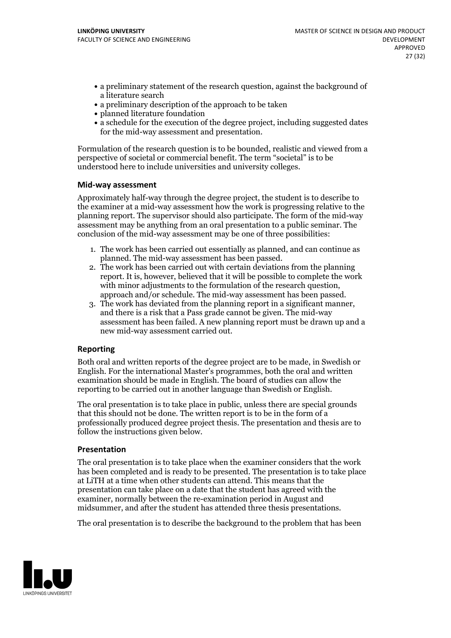- a preliminary statement of the research question, against the background of a literature search
- a preliminary description of the approach to be taken
- planned literature foundation
- a schedule for the execution of the degree project, including suggested dates for the mid-way assessment and presentation.

Formulation of the research question is to be bounded, realistic and viewed from a perspective of societal or commercial benefit. The term "societal" is to be understood here to include universities and university colleges.

#### **Mid-way assessment**

Approximately half-way through the degree project, the student is to describe to the examiner at a mid-way assessment how the work is progressing relative to the planning report. The supervisor should also participate. The form of the mid-way assessment may be anything from an oral presentation to a public seminar. The conclusion of the mid-way assessment may be one of three possibilities:

- 1. The work has been carried outessentially as planned, and can continue as planned. The mid-way assessment has been passed. 2. The work has been carried outwith certain deviations from the planning
- report. It is, however, believed that it will be possible to complete the work
- approach and/or schedule. The mid-way assessment has been passed.<br>3. The work has deviated from the planning report in a significant manner, and there is a risk that a Pass grade cannot be given. The mid-way assessment has been failed. A new planning report must be drawn up and a new mid-way assessment carried out.

#### **Reporting**

Both oral and written reports of the degree project are to be made, in Swedish or English. For the international Master's programmes, both the oral and written examination should be made in English. The board of studies can allow the reporting to be carried out in another language than Swedish or English.

The oral presentation is to take place in public, unless there are special grounds that this should not be done. The written report is to be in the form of a professionally produced degree project thesis. The presentation and thesis are to follow the instructions given below.

#### **Presentation**

The oral presentation is to take place when the examiner considers that the work has been completed and is ready to be presented. The presentation is to take place at LiTH at a time when other students can attend. This means that the presentation can take place on a date that the student has agreed with the examiner, normally between the re-examination period in August and midsummer, and after the student has attended three thesis presentations.

The oral presentation is to describe the background to the problem that has been

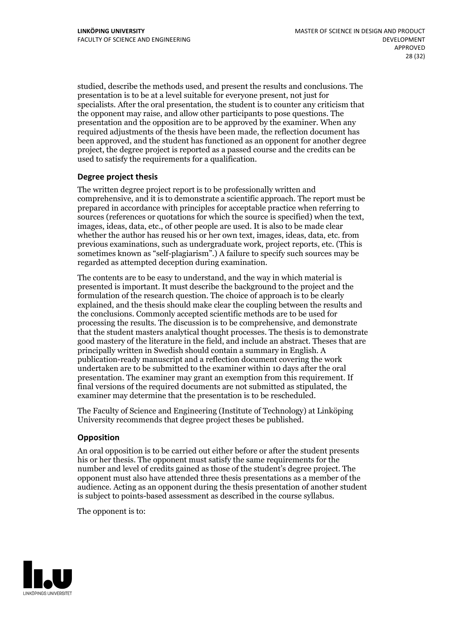studied, describe the methods used, and present the results and conclusions. The presentation is to be at a level suitable for everyone present, not just for specialists. After the oral presentation, the student is to counter any criticism that the opponent may raise, and allow other participants to pose questions. The presentation and the opposition are to be approved by the examiner. When any required adjustments of the thesis have been made, the reflection document has been approved, and the student has functioned as an opponent for another degree project, the degree project is reported as a passed course and the credits can be used to satisfy the requirements for a qualification.

#### **Degree project thesis**

The written degree project report is to be professionally written and comprehensive, and it is to demonstrate a scientific approach. The report must be prepared in accordance with principles for acceptable practice when referring to sources (references or quotations for which the source is specified) when the text, images, ideas, data, etc., of other people are used. It is also to be made clear whether the author has reused his or her own text, images, ideas, data, etc. from previous examinations, such asundergraduate work, project reports, etc. (This is sometimes known as"self-plagiarism".) A failure to specify such sources may be regarded as attempted deception during examination.

The contents are to be easy to understand, and the way in which material is presented is important. It must describe the background to the project and the formulation of the research question. The choice of approach is to be clearly explained, and the thesis should make clear the coupling between the results and the conclusions. Commonly accepted scientific methods are to be used for processing the results. The discussion is to be comprehensive, and demonstrate that the student masters analytical thought processes. The thesis is to demonstrate good mastery of the literature in the field, and include an abstract. Theses that are principally written in Swedish should contain a summary in English. A publication-ready manuscript and a reflection document covering the work undertaken are to be submitted to the examiner within 10 days after the oral presentation. The examiner may grant an exemption from this requirement. If final versions of the required documents are not submitted as stipulated, the examiner may determine that the presentation is to be rescheduled.

The Faculty of Science and Engineering (Institute of Technology) at Linköping University recommends that degree project theses be published.

#### **Opposition**

An oral opposition is to be carried out either before or after the student presents his or her thesis. The opponent must satisfy the same requirements for the number and level of credits gained as those of the student's degree project. The opponent must also have attended three thesis presentations as a member of the audience. Acting as an opponent during the thesis presentation of another student is subject to points-based assessment as described in the course syllabus.

The opponent is to:

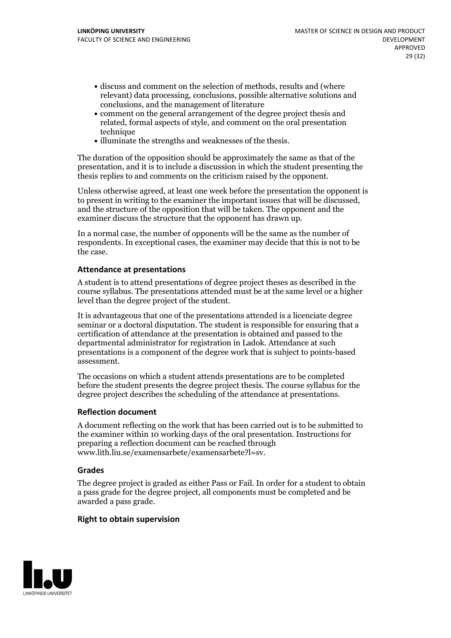- discuss and comment on the selection of methods, results and (where relevant) data processing, conclusions, possible alternative solutions and conclusions, and the management of literature
- comment on the general arrangement of the degree project thesis and related, formal aspects of style, and comment on the oral presentation technique
- illuminate the strengths and weaknesses of the thesis.

The duration of the opposition should be approximately the same as that of the presentation, and it is to include a discussion in which the student presenting the thesis replies to and comments on the criticism raised by the opponent.

Unless otherwise agreed, at least one week before the presentation the opponent is to present in writing to the examiner the important issues that will be discussed, and the structure ofthe opposition that will be taken. The opponent and the examiner discuss the structure that the opponent has drawn up.

In a normal case, the number of opponents will be the same as the number of respondents. In exceptional cases, the examiner may decide that this is not to be the case.

#### **Attendance at presentations**

A student is to attend presentations of degree project theses as described in the course syllabus. The presentations attended must be at the same level or a higher level than the degree project of the student.

It is advantageous that one of the presentations attended is a licenciate degree seminar or a doctoral disputation. The student is responsible for ensuring that a certification of attendance at the presentation is obtained and passed to the departmental administrator for registration in Ladok. Attendance at such presentations is a component of the degree work that is subject to points-based assessment.

The occasions on which a student attends presentations are to be completed before the student presents the degree project thesis. The course syllabus for the degree project describes the scheduling of the attendance at presentations.

#### **Reflection document**

A document reflecting on the work that has been carried outis to be submitted to the examiner within 10 working days of the oral presentation. Instructions for preparing a reflection document can be reached through www.lith.liu.se/examensarbete/examensarbete?l=sv.

#### **Grades**

The degree project is graded as either Pass or Fail. In order for a student to obtain a pass grade for the degree project, all components must be completed and be awarded a pass grade.

#### **Right to obtain supervision**

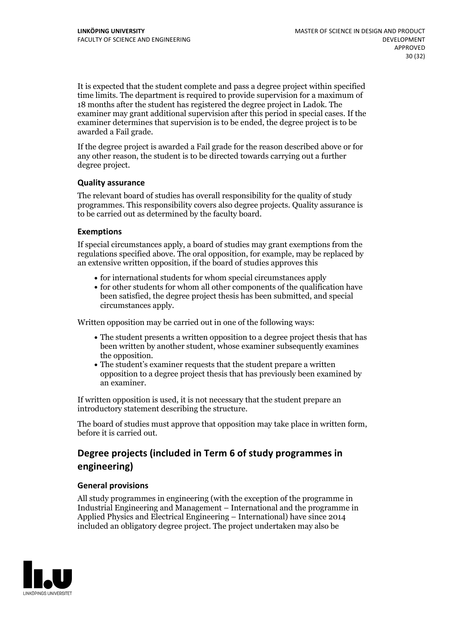It is expected that the student complete and pass a degree project within specified time limits. The department is required to provide supervision for a maximum of 18 months after the student has registered the degree project in Ladok. The examiner may grant additional supervision after this period in special cases. If the examiner determines that supervision is to be ended, the degree project is to be awarded a Fail grade.

If the degree project is awarded a Fail grade for the reason described above or for any other reason, the student is to be directed towards carrying out a further degree project.

#### **Quality assurance**

The relevant board of studies has overall responsibility for the quality of study programmes. This responsibility covers also degree projects. Quality assurance is to be carried out as determined by the faculty board.

#### **Exemptions**

If special circumstances apply, a board of studies may grant exemptions from the regulations specified above. The oral opposition, for example, may be replaced by an extensive written opposition, if the board of studies approves this

- $\bullet$  for international students for whom special circumstances apply
- for other students for whom all other components of the qualification have been satisfied, the degree project thesis has been submitted, and special circumstances apply.

Written opposition may be carried out in one of the following ways:

- The student presents a written opposition to a degree project thesis that has been written by another student, whose examiner subsequently examines the opposition.<br>• The student's examiner requests that the student prepare a written
- opposition to a degree project thesis that has previously been examined by an examiner.

If written opposition is used, it is not necessary that the student prepare an introductory statement describing the structure.

The board of studies must approve that opposition may take place in written form, before it is carried out.

## **Degree projects (included in Term 6 of study programmes in engineering)**

#### **General provisions**

All study programmes in engineering (with the exception of the programme in Industrial Engineering and Management – International and the programme in Applied Physics and Electrical Engineering – International) have since 2014 included an obligatory degree project. The project undertaken may also be

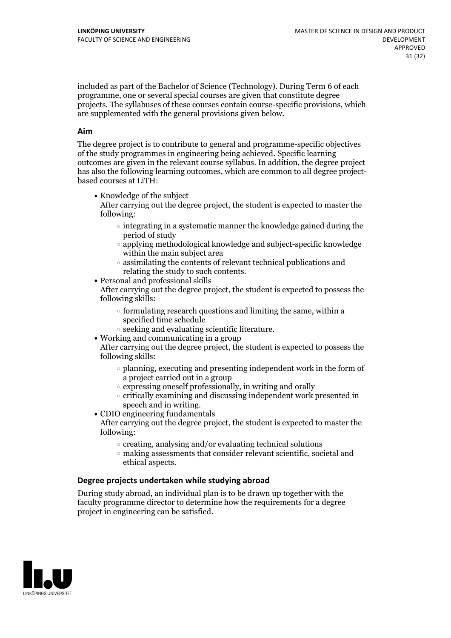included as part of the Bachelor of Science (Technology). During Term 6 of each programme, one or several special courses are given that constitute degree projects. The syllabuses of these courses contain course-specific provisions, which are supplemented with the general provisions given below.

#### **Aim**

The degree project is to contribute to general and programme-specific objectives of the study programmes in engineering being achieved. Specific learning outcomes are given in the relevant course syllabus. In addition, the degree project has also the following learning outcomes, which are common to all degree project- based courses at LiTH:

• Knowledge of the subject

After carrying out the degree project, the student is expected to master the following:

- $\circ$  integrating in a systematic manner the knowledge gained during the period of study
- applying methodological knowledge and subject-specific knowledge within the main subject area
- $\circ$  assimilating the contents of relevant technical publications and relating the study to such contents.<br>• Personal and professional skills
- 

After carrying out the degree project, the student is expected to possess the following skills:

- $\circ$  formulating research questions and limiting the same, within a specified time schedule
- $\circ$  seeking and evaluating scientific literature.<br>• Working and communicating in a group
- 

After carrying out the degree project, the student is expected to possess the following skills:

- $\circ$  planning, executing and presenting independent work in the form of a project carried out in a group
- $\circ$  expressing oneself professionally, in writing and orally
- $\circ$  critically examining and discussing independent work presented in
- speech and in writing.<br>• CDIO engineering fundamentals

After carrying out the degree project, the student is expected to master the following:

- $\circ$  creating, analysing and/or evaluating technical solutions
- making assessments that consider relevant scientific, societal and ethical aspects.

#### **Degree projects undertaken while studying abroad**

During study abroad, an individual plan is to be drawn up together with the faculty programme director to determine how the requirements for a degree project in engineering can be satisfied.